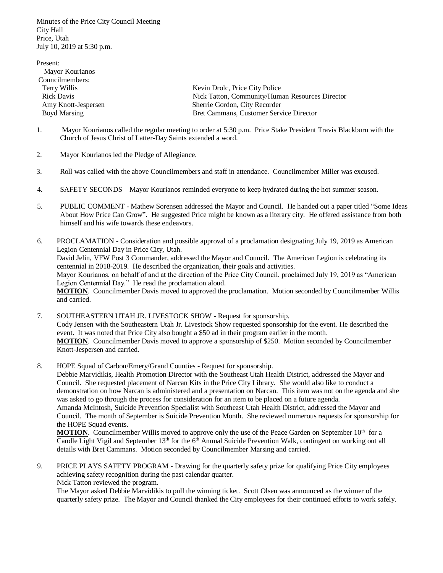Minutes of the Price City Council Meeting City Hall Price, Utah July 10, 2019 at 5:30 p.m.

| Present:            |                                                 |
|---------------------|-------------------------------------------------|
| Mayor Kourianos     |                                                 |
| Councilmembers:     |                                                 |
| Terry Willis        | Kevin Drolc, Price City Police                  |
| Rick Davis          | Nick Tatton, Community/Human Resources Director |
| Amy Knott-Jespersen | Sherrie Gordon, City Recorder                   |
| <b>Boyd Marsing</b> | Bret Cammans, Customer Service Director         |

- 1. Mayor Kourianos called the regular meeting to order at 5:30 p.m. Price Stake President Travis Blackburn with the Church of Jesus Christ of Latter-Day Saints extended a word.
- 2. Mayor Kourianos led the Pledge of Allegiance.
- 3. Roll was called with the above Councilmembers and staff in attendance. Councilmember Miller was excused.
- 4. SAFETY SECONDS Mayor Kourianos reminded everyone to keep hydrated during the hot summer season.
- 5. PUBLIC COMMENT Mathew Sorensen addressed the Mayor and Council. He handed out a paper titled "Some Ideas About How Price Can Grow". He suggested Price might be known as a literary city. He offered assistance from both himself and his wife towards these endeavors.
- 6. PROCLAMATION Consideration and possible approval of a proclamation designating July 19, 2019 as American Legion Centennial Day in Price City, Utah. David Jelin, VFW Post 3 Commander, addressed the Mayor and Council. The American Legion is celebrating its centennial in 2018-2019. He described the organization, their goals and activities. Mayor Kourianos, on behalf of and at the direction of the Price City Council, proclaimed July 19, 2019 as "American Legion Centennial Day." He read the proclamation aloud. **MOTION**. Councilmember Davis moved to approved the proclamation. Motion seconded by Councilmember Willis and carried.
- 7. SOUTHEASTERN UTAH JR. LIVESTOCK SHOW Request for sponsorship. Cody Jensen with the Southeastern Utah Jr. Livestock Show requested sponsorship for the event. He described the event. It was noted that Price City also bought a \$50 ad in their program earlier in the month. **MOTION**. Councilmember Davis moved to approve a sponsorship of \$250. Motion seconded by Councilmember Knott-Jespersen and carried.
- 8. HOPE Squad of Carbon/Emery/Grand Counties Request for sponsorship.

Debbie Marvidikis, Health Promotion Director with the Southeast Utah Health District, addressed the Mayor and Council. She requested placement of Narcan Kits in the Price City Library. She would also like to conduct a demonstration on how Narcan is administered and a presentation on Narcan. This item was not on the agenda and she was asked to go through the process for consideration for an item to be placed on a future agenda.

Amanda McIntosh, Suicide Prevention Specialist with Southeast Utah Health District, addressed the Mayor and Council. The month of September is Suicide Prevention Month. She reviewed numerous requests for sponsorship for the HOPE Squad events.

**MOTION**. Councilmember Willis moved to approve only the use of the Peace Garden on September  $10<sup>th</sup>$  for a Candle Light Vigil and September 13<sup>th</sup> for the 6<sup>th</sup> Annual Suicide Prevention Walk, contingent on working out all details with Bret Cammans. Motion seconded by Councilmember Marsing and carried.

9. PRICE PLAYS SAFETY PROGRAM - Drawing for the quarterly safety prize for qualifying Price City employees achieving safety recognition during the past calendar quarter. Nick Tatton reviewed the program.

The Mayor asked Debbie Marvidikis to pull the winning ticket. Scott Olsen was announced as the winner of the quarterly safety prize. The Mayor and Council thanked the City employees for their continued efforts to work safely.